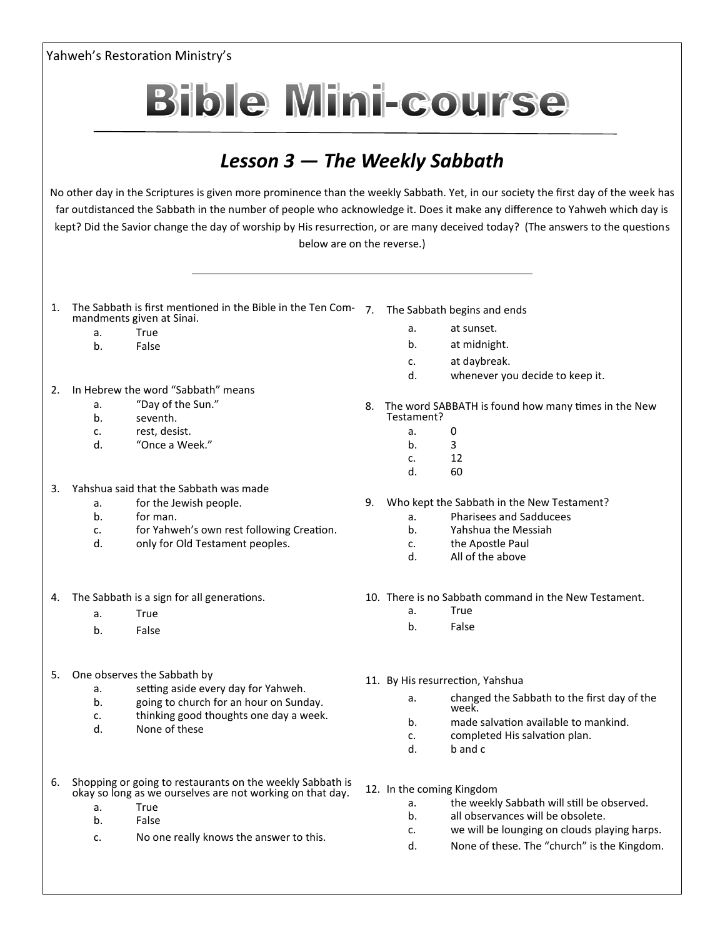| Yahweh's Restoration Ministry's                                                                                                                                                                                                                                                                                                                                                                                                  |                                                                                                                        |                                                                                          |    |             |                                                        |
|----------------------------------------------------------------------------------------------------------------------------------------------------------------------------------------------------------------------------------------------------------------------------------------------------------------------------------------------------------------------------------------------------------------------------------|------------------------------------------------------------------------------------------------------------------------|------------------------------------------------------------------------------------------|----|-------------|--------------------------------------------------------|
|                                                                                                                                                                                                                                                                                                                                                                                                                                  |                                                                                                                        | <b>Bible Mini-course</b>                                                                 |    |             |                                                        |
|                                                                                                                                                                                                                                                                                                                                                                                                                                  |                                                                                                                        |                                                                                          |    |             |                                                        |
|                                                                                                                                                                                                                                                                                                                                                                                                                                  |                                                                                                                        | Lesson $3$ – The Weekly Sabbath                                                          |    |             |                                                        |
| No other day in the Scriptures is given more prominence than the weekly Sabbath. Yet, in our society the first day of the week has<br>far outdistanced the Sabbath in the number of people who acknowledge it. Does it make any difference to Yahweh which day is<br>kept? Did the Savior change the day of worship by His resurrection, or are many deceived today? (The answers to the questions<br>below are on the reverse.) |                                                                                                                        |                                                                                          |    |             |                                                        |
| 1.                                                                                                                                                                                                                                                                                                                                                                                                                               |                                                                                                                        | The Sabbath is first mentioned in the Bible in the Ten Com-<br>mandments given at Sinai. | 7. |             | The Sabbath begins and ends                            |
|                                                                                                                                                                                                                                                                                                                                                                                                                                  | a.                                                                                                                     | True                                                                                     |    | a.          | at sunset.                                             |
|                                                                                                                                                                                                                                                                                                                                                                                                                                  | b <sub>1</sub>                                                                                                         | False                                                                                    |    | b.          | at midnight.                                           |
|                                                                                                                                                                                                                                                                                                                                                                                                                                  |                                                                                                                        |                                                                                          |    | c.          | at daybreak.                                           |
|                                                                                                                                                                                                                                                                                                                                                                                                                                  |                                                                                                                        |                                                                                          |    | d.          | whenever you decide to keep it.                        |
| 2.                                                                                                                                                                                                                                                                                                                                                                                                                               |                                                                                                                        | In Hebrew the word "Sabbath" means                                                       |    |             |                                                        |
|                                                                                                                                                                                                                                                                                                                                                                                                                                  | a.<br>b.                                                                                                               | "Day of the Sun."<br>seventh.                                                            |    | Testament?  | 8. The word SABBATH is found how many times in the New |
|                                                                                                                                                                                                                                                                                                                                                                                                                                  | c.                                                                                                                     | rest, desist.                                                                            |    | a.          | 0                                                      |
|                                                                                                                                                                                                                                                                                                                                                                                                                                  | d.                                                                                                                     | "Once a Week."                                                                           |    | b.          | 3                                                      |
|                                                                                                                                                                                                                                                                                                                                                                                                                                  |                                                                                                                        |                                                                                          |    | $C_{\star}$ | 12                                                     |
|                                                                                                                                                                                                                                                                                                                                                                                                                                  |                                                                                                                        |                                                                                          |    | d.          | 60                                                     |
| 3.                                                                                                                                                                                                                                                                                                                                                                                                                               |                                                                                                                        | Yahshua said that the Sabbath was made                                                   |    |             |                                                        |
|                                                                                                                                                                                                                                                                                                                                                                                                                                  | а.                                                                                                                     | for the Jewish people.                                                                   | 9. |             | Who kept the Sabbath in the New Testament?             |
|                                                                                                                                                                                                                                                                                                                                                                                                                                  | b.                                                                                                                     | for man.                                                                                 |    | a.          | Pharisees and Sadducees                                |
|                                                                                                                                                                                                                                                                                                                                                                                                                                  | c.<br>d.                                                                                                               | for Yahweh's own rest following Creation.                                                |    | b.          | Yahshua the Messiah                                    |
|                                                                                                                                                                                                                                                                                                                                                                                                                                  |                                                                                                                        | only for Old Testament peoples.                                                          |    | c.<br>d.    | the Apostle Paul<br>All of the above                   |
| 4.                                                                                                                                                                                                                                                                                                                                                                                                                               | The Sabbath is a sign for all generations.                                                                             |                                                                                          |    |             | 10. There is no Sabbath command in the New Testament.  |
|                                                                                                                                                                                                                                                                                                                                                                                                                                  | a.                                                                                                                     | True                                                                                     |    | a.          | True                                                   |
|                                                                                                                                                                                                                                                                                                                                                                                                                                  | b.                                                                                                                     | False                                                                                    |    | b.          | False                                                  |
| 5.                                                                                                                                                                                                                                                                                                                                                                                                                               | One observes the Sabbath by                                                                                            |                                                                                          |    |             | 11. By His resurrection, Yahshua                       |
|                                                                                                                                                                                                                                                                                                                                                                                                                                  | a.                                                                                                                     | setting aside every day for Yahweh.                                                      |    | а.          | changed the Sabbath to the first day of the            |
|                                                                                                                                                                                                                                                                                                                                                                                                                                  | b.<br>c.                                                                                                               | going to church for an hour on Sunday.<br>thinking good thoughts one day a week.         |    |             | week.                                                  |
|                                                                                                                                                                                                                                                                                                                                                                                                                                  | d.                                                                                                                     | None of these                                                                            |    | b.          | made salvation available to mankind.                   |
|                                                                                                                                                                                                                                                                                                                                                                                                                                  |                                                                                                                        |                                                                                          |    | c.<br>d.    | completed His salvation plan.<br>b and c               |
| 6.                                                                                                                                                                                                                                                                                                                                                                                                                               | Shopping or going to restaurants on the weekly Sabbath is<br>okay so long as we ourselves are not working on that day. |                                                                                          |    |             | 12. In the coming Kingdom                              |
|                                                                                                                                                                                                                                                                                                                                                                                                                                  | a.                                                                                                                     | True                                                                                     |    | a.          | the weekly Sabbath will still be observed.             |
|                                                                                                                                                                                                                                                                                                                                                                                                                                  | b.                                                                                                                     | False                                                                                    |    | b.          | all observances will be obsolete.                      |
|                                                                                                                                                                                                                                                                                                                                                                                                                                  |                                                                                                                        |                                                                                          |    | c.          | we will be lounging on clouds playing harps.           |
|                                                                                                                                                                                                                                                                                                                                                                                                                                  | c.                                                                                                                     | No one really knows the answer to this.                                                  |    | d.          | None of these. The "church" is the Kingdom.            |